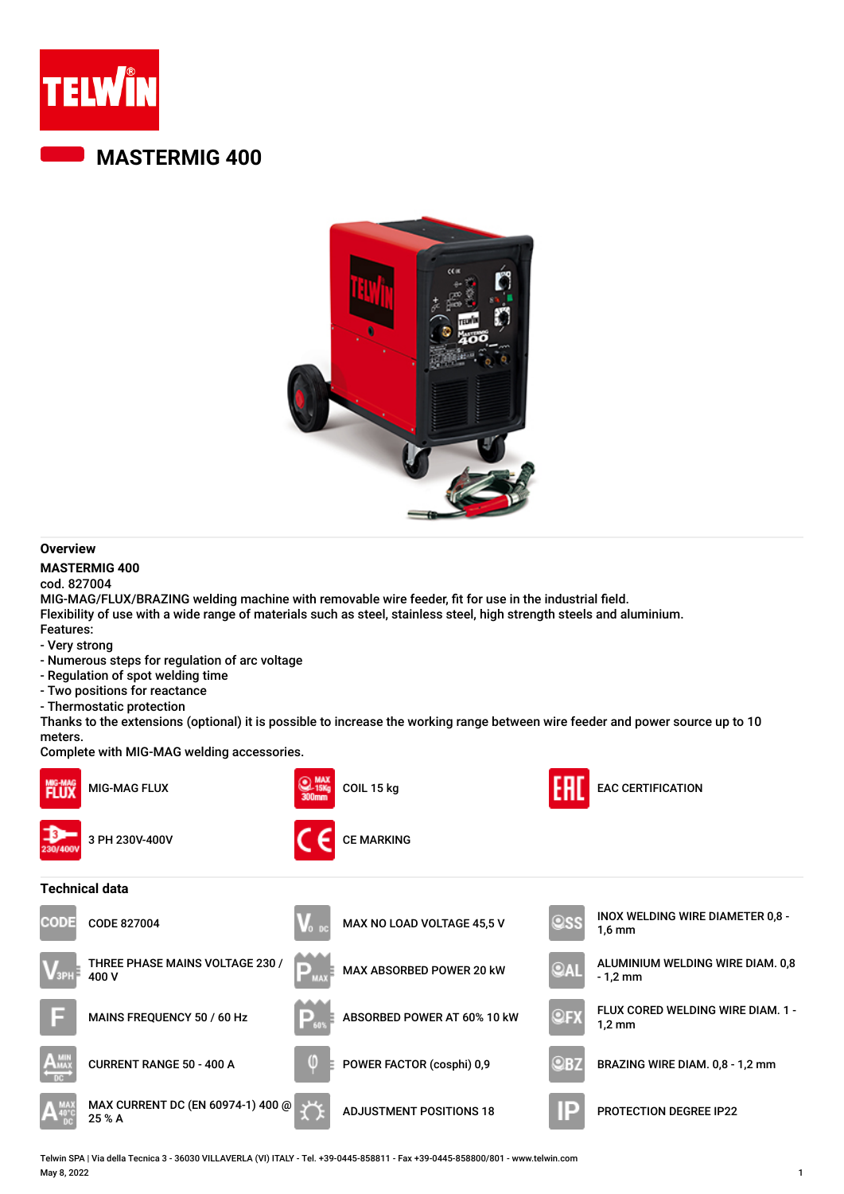

## **MASTERMIG 400**



#### **Overview**

#### **MASTERMIG 400**

cod. 827004

MIG-MAG/FLUX/BRAZING welding machine with removable wire feeder, fit for use in the industrial field. Flexibility of use with a wide range of materials such as steel, stainless steel, high strength steels and aluminium. Features:

- Very strong
- Numerous steps for regulation of arc voltage
- Regulation of spot welding time
- Two positions for reactance
- Thermostatic protection

Thanks to the extensions (optional) it is possible to increase the working range between wire feeder and power source up to 10 meters.

Complete with MIG-MAG welding accessories.



Telwin SPA | Via della Tecnica 3 - 36030 VILLAVERLA (VI) ITALY - Tel. +39-0445-858811 - Fax +39-0445-858800/801 - www.telwin.com May 8, 2022 1